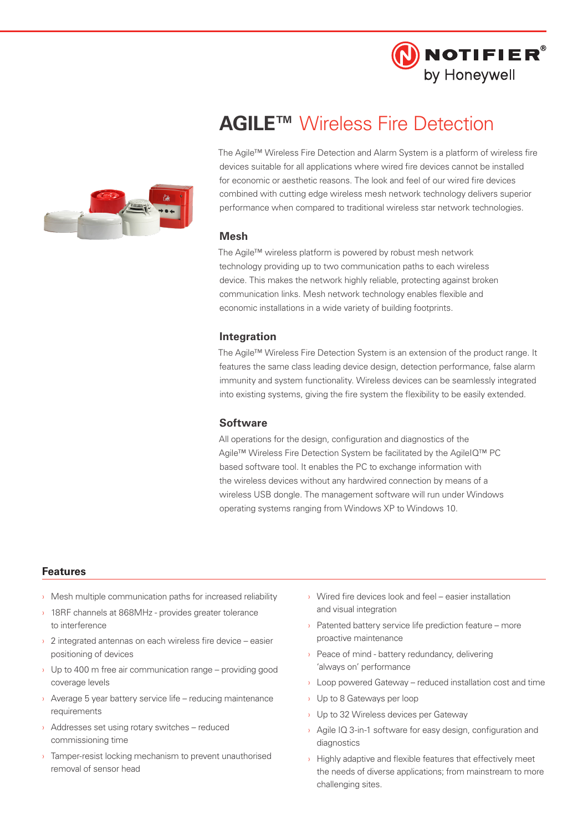

# **AGILE™** Wireless Fire Detection

The Agile™ Wireless Fire Detection and Alarm System is a platform of wireless fire devices suitable for all applications where wired fire devices cannot be installed for economic or aesthetic reasons. The look and feel of our wired fire devices combined with cutting edge wireless mesh network technology delivers superior performance when compared to traditional wireless star network technologies.

## **Mesh**

The Agile™ wireless platform is powered by robust mesh network technology providing up to two communication paths to each wireless device. This makes the network highly reliable, protecting against broken communication links. Mesh network technology enables flexible and economic installations in a wide variety of building footprints.

### **Integration**

The Agile™ Wireless Fire Detection System is an extension of the product range. It features the same class leading device design, detection performance, false alarm immunity and system functionality. Wireless devices can be seamlessly integrated into existing systems, giving the fire system the flexibility to be easily extended.

#### **Software**

All operations for the design, configuration and diagnostics of the Agile™ Wireless Fire Detection System be facilitated by the AgileIQ™ PC based software tool. It enables the PC to exchange information with the wireless devices without any hardwired connection by means of a wireless USB dongle. The management software will run under Windows operating systems ranging from Windows XP to Windows 10.

#### **Features**

- $\rightarrow$  Mesh multiple communication paths for increased reliability
- › 18RF channels at 868MHz provides greater tolerance to interference
- 2 integrated antennas on each wireless fire device easier positioning of devices
- $\rightarrow$  Up to 400 m free air communication range providing good coverage levels
- › Average 5 year battery service life reducing maintenance requirements
- › Addresses set using rotary switches reduced commissioning time
- › Tamper-resist locking mechanism to prevent unauthorised removal of sensor head
- › Wired fire devices look and feel easier installation and visual integration
- › Patented battery service life prediction feature more proactive maintenance
- Peace of mind battery redundancy, delivering 'always on' performance
- $\rightarrow$  Loop powered Gateway reduced installation cost and time
- › Up to 8 Gateways per loop
- › Up to 32 Wireless devices per Gateway
- › Agile IQ 3-in-1 software for easy design, configuration and diagnostics
- $\rightarrow$  Highly adaptive and flexible features that effectively meet the needs of diverse applications; from mainstream to more challenging sites.

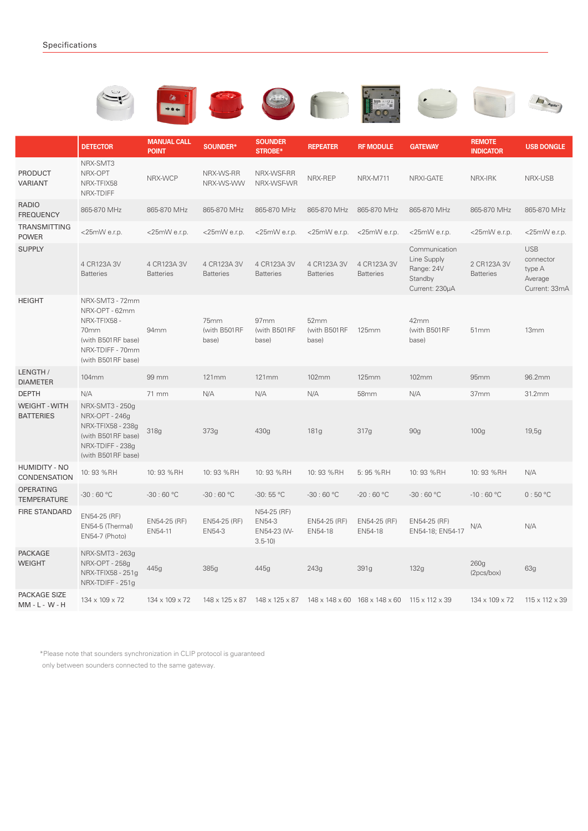|                                          |                                                                                                                           |                                    |                                 |                                                                            |                                 |                                 |                                                                         |                                   | Agill                                                         |
|------------------------------------------|---------------------------------------------------------------------------------------------------------------------------|------------------------------------|---------------------------------|----------------------------------------------------------------------------|---------------------------------|---------------------------------|-------------------------------------------------------------------------|-----------------------------------|---------------------------------------------------------------|
|                                          | <b>DETECTOR</b>                                                                                                           | <b>MANUAL CALL</b><br><b>POINT</b> | SOUNDER*                        | <b>SOUNDER</b><br><b>STROBE*</b>                                           | <b>REPEATER</b>                 | <b>RF MODULE</b>                | <b>GATEWAY</b>                                                          | <b>REMOTE</b><br><b>INDICATOR</b> | <b>USB DONGLE</b>                                             |
| <b>PRODUCT</b><br>VARIANT                | NRX-SMT3<br>NRX-OPT<br>NRX-TFIX58<br>NRX-TDIFF                                                                            | NRX-WCP                            | NRX-WS-RR<br>NRX-WS-WW          | NRX-WSF-RR<br>NRX-WSF-WR                                                   | NRX-REP                         | <b>NRX-M711</b>                 | NRXI-GATE                                                               | NRX-IRK                           | NRX-USB                                                       |
| <b>RADIO</b><br><b>FREQUENCY</b>         | 865-870 MHz                                                                                                               | 865-870 MHz                        | 865-870 MHz                     | 865-870 MHz                                                                | 865-870 MHz                     | 865-870 MHz                     | 865-870 MHz                                                             | 865-870 MHz                       | 865-870 MHz                                                   |
| <b>TRANSMITTING</b><br><b>POWER</b>      | $<$ 25mW e.r.p.                                                                                                           | <25mW e.r.p.                       | $<$ 25mW e.r.p.                 | $<$ 25mW e.r.p.                                                            | $<$ 25mW e.r.p.                 | $<$ 25mW e.r.p.                 | $<$ 25mW e.r.p.                                                         | <25mW e.r.p.                      | <25mWe.r.p.                                                   |
| <b>SUPPLY</b>                            | 4 CR123A 3V<br><b>Batteries</b>                                                                                           | 4 CR123A 3V<br><b>Batteries</b>    | 4 CR123A 3V<br><b>Batteries</b> | 4 CR123A 3V<br><b>Batteries</b>                                            | 4 CR123A 3V<br><b>Batteries</b> | 4 CR123A 3V<br><b>Batteries</b> | Communication<br>Line Supply<br>Range: 24V<br>Standby<br>Current: 230µA | 2 CR123A 3V<br><b>Batteries</b>   | <b>USB</b><br>connector<br>type A<br>Average<br>Current: 33mA |
| <b>HEIGHT</b>                            | NRX-SMT3 - 72mm<br>NRX-OPT - 62mm<br>NRX-TFIX58 -<br>70mm<br>(with B501RF base)<br>NRX-TDIFF - 70mm<br>(with B501RF base) | 94mm                               | 75mm<br>(with B501RF<br>base)   | 97mm<br>(with B501RF<br>base)                                              | 52mm<br>(with B501RF<br>base)   | 125mm                           | 42mm<br>(with B501RF<br>base)                                           | 51 <sub>mm</sub>                  | 13mm                                                          |
| LENGTH /<br><b>DIAMETER</b>              | 104mm                                                                                                                     | 99 mm                              | 121mm                           | 121mm                                                                      | 102mm                           | <b>125mm</b>                    | 102mm                                                                   | 95mm                              | 96.2mm                                                        |
| <b>DEPTH</b>                             | N/A                                                                                                                       | 71 mm                              | N/A                             | N/A                                                                        | N/A                             | 58mm                            | N/A                                                                     | 37mm                              | 31.2mm                                                        |
| <b>WEIGHT - WITH</b><br><b>BATTERIES</b> | NRX-SMT3 - 250g<br>NRX-OPT - 246g<br>NRX-TFIX58 - 238g<br>(with B501RF base)<br>NRX-TDIFF - 238g<br>(with B501RF base)    | 318g                               | 373g                            | 430g                                                                       | 181g                            | 317g                            | 90g                                                                     | 100 <sub>g</sub>                  | 19,5g                                                         |
| <b>HUMIDITY - NO</b><br>CONDENSATION     | 10: 93 %RH                                                                                                                | 10: 93 %RH                         | 10: 93 % RH                     | 10: 93 %RH                                                                 | 10: 93 % RH                     | 5: 95 %RH                       | 10: 93 %RH                                                              | 10: 93 % RH                       | N/A                                                           |
| <b>OPERATING</b><br><b>TEMPERATURE</b>   | $-30:60 °C$                                                                                                               | $-30:60 °C$                        | $-30:60 °C$                     | $-30:55 °C$                                                                | $-30:60 °C$                     | $-20:60 °C$                     | $-30:60 °C$                                                             | $-10:60 °C$                       | 0:50 °C                                                       |
| <b>FIRE STANDARD</b>                     | EN54-25 (RF)<br>EN54-5 (Thermal)<br>EN54-7 (Photo)                                                                        | EN54-25 (RF)<br>EN54-11            | EN54-25 (RF)<br>EN54-3          | N54-25 (RF)<br>EN54-3<br>EN54-23 (W-<br>$3.5 - 10$                         | EN54-25 (RF)<br>EN54-18         | EN54-25 (RF)<br>EN54-18         | EN54-25 (RF)<br>EN54-18; EN54-17                                        | $\mathsf{N}/\mathsf{A}$           | N/A                                                           |
| <b>PACKAGE</b><br><b>WEIGHT</b>          | NRX-SMT3 - 263g<br>NRX-OPT - 258g<br>NRX-TFIX58 - 251q<br>NRX-TDIFF - 251g                                                | 445g                               | 385g                            | 445g                                                                       | 243g                            | 391g                            | 132g                                                                    | 260g<br>(2pcs/box)                | 63g                                                           |
| PACKAGE SIZE<br>$MM - L - W - H$         | 134 x 109 x 72                                                                                                            | 134 x 109 x 72                     |                                 | 148 x 125 x 87 148 x 125 x 87 148 x 148 x 60 168 x 148 x 60 115 x 112 x 39 |                                 |                                 |                                                                         | 134 x 109 x 72                    | 115 x 112 x 39                                                |

\*Please note that sounders synchronization in CLIP protocol is guaranteed

only between sounders connected to the same gateway.